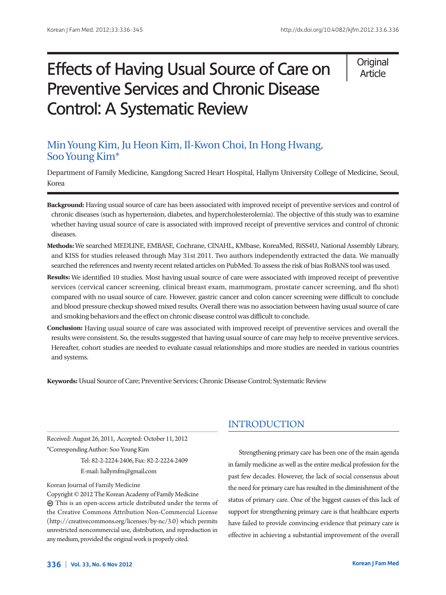# Effects of Having Usual Source of Care on Preventive Services and Chronic Disease Control: A Systematic Review

**Original** Article

## Min Young Kim, Ju Heon Kim, Il-Kwon Choi, In Hong Hwang, Soo Young Kim\*

Department of Family Medicine, Kangdong Sacred Heart Hospital, Hallym University College of Medicine, Seoul, Korea

- **Background:** Having usual source of care has been associated with improved receipt of preventive services and control of chronic diseases (such as hypertension, diabetes, and hypercholesterolemia). The objective of this study was to examine whether having usual source of care is associated with improved receipt of preventive services and control of chronic diseases.
- **Methods:** We searched MEDLINE, EMBASE, Cochrane, CINAHL, KMbase, KoreaMed, RiSS4U, National Assembly Library, and KISS for studies released through May 31st 2011. Two authors independently extracted the data. We manually searched the references and twenty recent related articles on PubMed. To assess the risk of bias RoBANS tool was used.
- **Results:** We identified 10 studies. Most having usual source of care were associated with improved receipt of preventive services (cervical cancer screening, clinical breast exam, mammogram, prostate cancer screening, and flu shot) compared with no usual source of care. However, gastric cancer and colon cancer screening were difficult to conclude and blood pressure checkup showed mixed results. Overall there was no association between having usual source of care and smoking behaviors and the effect on chronic disease control was difficult to conclude.
- **Conclusion:** Having usual source of care was associated with improved receipt of preventive services and overall the results were consistent. So, the results suggested that having usual source of care may help to receive preventive services. Hereafter, cohort studies are needed to evaluate casual relationships and more studies are needed in various countries and systems.

**Keywords:** Usual Source of Care; Preventive Services; Chronic Disease Control; Systematic Review

Received: August 26, 2011, Accepted: October 11, 2012 \*Corresponding Author: Soo Young Kim

> Tel: 82-2-2224-2406, Fax: 82-2-2224-2409 E-mail: hallymfm@gmail.com

#### Korean Journal of Family Medicine

Copyright © 2012 The Korean Academy of Family Medicine This is an open-access article distributed under the terms of the Creative Commons Attribution Non-Commercial License (http://creativecommons.org/licenses/by-nc/3.0) which permits unrestricted noncommercial use, distribution, and reproduction in any medium, provided the original work is properly cited.

## INTRODUCTION

Strengthening primary care has been one of the main agenda in family medicine as well as the entire medical profession for the past few decades. However, the lack of social consensus about the need for primary care has resulted in the diminishment of the status of primary care. One of the biggest causes of this lack of support for strengthening primary care is that healthcare experts have failed to provide convincing evidence that primary care is effective in achieving a substantial improvement of the overall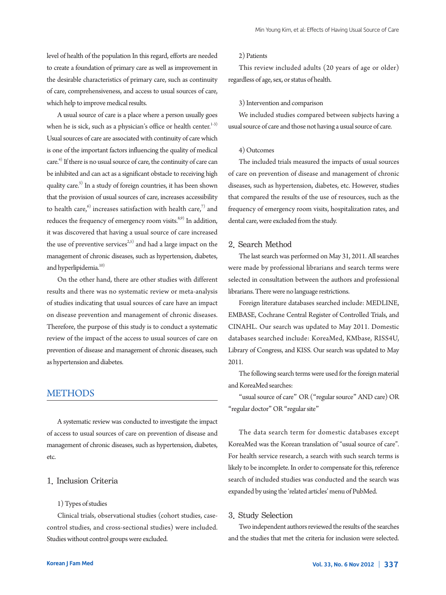level of health of the population In this regard, efforts are needed to create a foundation of primary care as well as improvement in the desirable characteristics of primary care, such as continuity of care, comprehensiveness, and access to usual sources of care, which help to improve medical results.

A usual source of care is a place where a person usually goes when he is sick, such as a physician's office or health center. $1-3$ ) Usual sources of care are associated with continuity of care which is one of the important factors influencing the quality of medical care.4) If there is no usual source of care, the continuity of care can be inhibited and can act as a significant obstacle to receiving high quality care.<sup>5)</sup> In a study of foreign countries, it has been shown that the provision of usual sources of care, increases accessibility to health care, $6$ ) increases satisfaction with health care, $7$ ) and reduces the frequency of emergency room visits.<sup>8,9)</sup> In addition, it was discovered that having a usual source of care increased the use of preventive services<sup> $2,5$ </sup> and had a large impact on the management of chronic diseases, such as hypertension, diabetes, and hyperlipidemia.<sup>10)</sup>

On the other hand, there are other studies with different results and there was no systematic review or meta-analysis of studies indicating that usual sources of care have an impact on disease prevention and management of chronic diseases. Therefore, the purpose of this study is to conduct a systematic review of the impact of the access to usual sources of care on prevention of disease and management of chronic diseases, such as hypertension and diabetes.

## **METHODS**

A systematic review was conducted to investigate the impact of access to usual sources of care on prevention of disease and management of chronic diseases, such as hypertension, diabetes, etc.

## 1. Inclusion Criteria

#### 1) Types of studies

Clinical trials, observational studies (cohort studies, casecontrol studies, and cross-sectional studies) were included. Studies without control groups were excluded.

#### 2) Patients

This review included adults (20 years of age or older) regardless of age, sex, or status of health.

#### 3) Intervention and comparison

We included studies compared between subjects having a usual source of care and those not having a usual source of care.

#### 4) Outcomes

The included trials measured the impacts of usual sources of care on prevention of disease and management of chronic diseases, such as hypertension, diabetes, etc. However, studies that compared the results of the use of resources, such as the frequency of emergency room visits, hospitalization rates, and dental care, were excluded from the study.

#### 2. Search Method

The last search was performed on May 31, 2011. All searches were made by professional librarians and search terms were selected in consultation between the authors and professional librarians. There were no language restrictions.

Foreign literature databases searched include: MEDLINE, EMBASE, Cochrane Central Register of Controlled Trials, and CINAHL. Our search was updated to May 2011. Domestic databases searched include: KoreaMed, KMbase, RISS4U, Library of Congress, and KISS. Our search was updated to May 2011.

The following search terms were used for the foreign material and KoreaMed searches:

"usual source of care" OR ("regular source" AND care) OR "regular doctor" OR "regular site"

The data search term for domestic databases except KoreaMed was the Korean translation of "usual source of care". For health service research, a search with such search terms is likely to be incomplete. In order to compensate for this, reference search of included studies was conducted and the search was expanded by using the 'related articles' menu of PubMed.

#### 3. Study Selection

Two independent authors reviewed the results of the searches and the studies that met the criteria for inclusion were selected.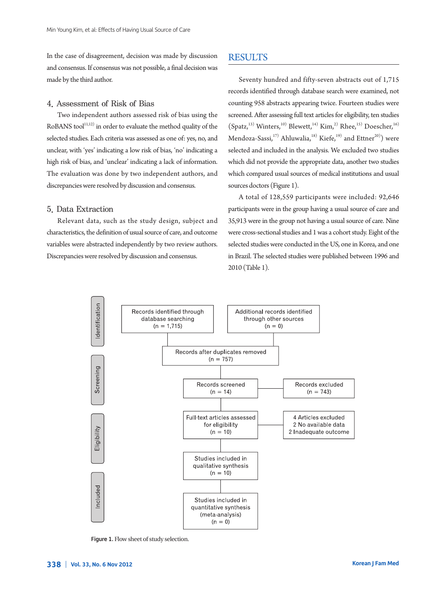In the case of disagreement, decision was made by discussion and consensus. If consensus was not possible, a final decision was made by the third author.

#### 4. Assessment of Risk of Bias

Two independent authors assessed risk of bias using the RoBANS tool $11,12$  in order to evaluate the method quality of the selected studies. Each criteria was assessed as one of: yes, no, and unclear, with 'yes' indicating a low risk of bias, 'no' indicating a high risk of bias, and 'unclear' indicating a lack of information. The evaluation was done by two independent authors, and discrepancies were resolved by discussion and consensus.

#### 5. Data Extraction

Relevant data, such as the study design, subject and characteristics, the definition of usual source of care, and outcome variables were abstracted independently by two review authors. Discrepancies were resolved by discussion and consensus.

## **RESULTS**

Seventy hundred and fifty-seven abstracts out of 1,715 records identified through database search were examined, not counting 958 abstracts appearing twice. Fourteen studies were screened. After assessing full text articles for eligibility, ten studies  $(Spatz, 13)$  Winters,<sup>10)</sup> Blewett,<sup>14)</sup> Kim,<sup>2)</sup> Rhee,<sup>15)</sup> Doescher,<sup>16)</sup> Mendoza-Sassi,<sup>17)</sup> Ahluwalia,<sup>18)</sup> Kiefe,<sup>19)</sup> and Ettner<sup>20)</sup>) were selected and included in the analysis. We excluded two studies which did not provide the appropriate data, another two studies which compared usual sources of medical institutions and usual sources doctors (Figure 1).

A total of 128,559 participants were included: 92,646 participants were in the group having a usual source of care and 35,913 were in the group not having a usual source of care. Nine were cross-sectional studies and 1 was a cohort study. Eight of the selected studies were conducted in the US, one in Korea, and one in Brazil. The selected studies were published between 1996 and 2010 (Table 1).



Figure 1. Flow sheet of study selection.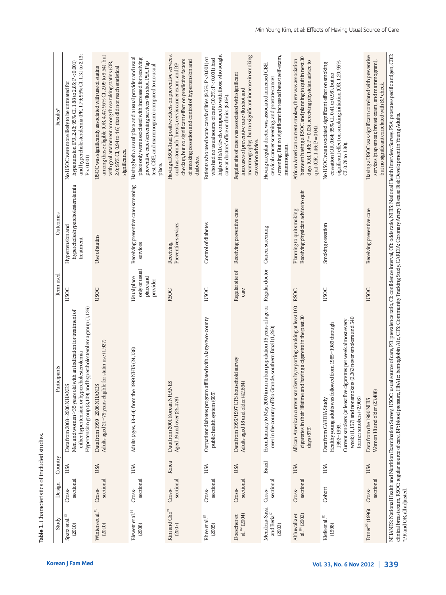| sectional<br>Design<br>Cross-<br>Spatz et al. <sup>13</sup><br>Study<br>(2010) | Country<br>USA | Participants                                                                                                                                                                                                                                                    | Term used                                             | Outcomes                                                         | Results'                                                                                                                                                                                                                                                 |
|--------------------------------------------------------------------------------|----------------|-----------------------------------------------------------------------------------------------------------------------------------------------------------------------------------------------------------------------------------------------------------------|-------------------------------------------------------|------------------------------------------------------------------|----------------------------------------------------------------------------------------------------------------------------------------------------------------------------------------------------------------------------------------------------------|
|                                                                                |                | Hypertension group (3,109) and hypercholesterolema group (1,126)<br>Men and women $\geq$ 35 years old with an indication for treatment of<br>either hypertension or hypercholesterolemia<br>Data from 2003-2006 NHANES                                          | USOC                                                  | hypercholeshypercholesterolemia<br>Hypertension and<br>treatment | and hypercholesterolemia (PR, 1.79; 95% CI, 1.31 to 2.13;<br>hypertension (PR, 2.43; 95% CI, 1.88 to 2.85; P < 0.001)<br>No USOC were more likely to be untreated for<br>P < 0.001                                                                       |
| sectional<br>Cross-<br>Winters et al. $^{\rm 10}$<br>(2010)                    | USA            | Adults aged 21-79 years eligible for statin use (1,927)<br>Data from 1999-2006 NHANES                                                                                                                                                                           | <b>USOC</b>                                           | Use of statins                                                   | among those eligible (OR, 4.47; 95% CI, 2.09 to 9.54), but<br>with goal attainment among those taking statins (OR,<br>USOC was significantly associated with use of statins<br>2.0; 95% CI, 0.94 to 4.6) that did not reach statistical<br>significance. |
| sectional<br>Cross-<br>Blewett et al. $\real^{14)}$<br>(2008)                  | USA            | Adults (ages, 18-64) from the 1999 NHIS (24,138)                                                                                                                                                                                                                | only or usual<br>Usual place<br>place and<br>provider | Receiving preventive care/screening<br>services                  | Having both a usual place and a usual provider and usual<br>place only were associated with increased for receiving<br>preventive care/screening services (flu shot, PSA, Pap<br>test, CBE, and mammogram) compared to no usual<br>place.                |
| sectional<br>Cross-<br>Kim and $Cho2$<br>(2007)                                | Korea          | Data from 2001 Korean NHANES<br>Aged 19 and over (25,478)                                                                                                                                                                                                       | <b>RSOC</b>                                           | Preventive services<br>Receiving                                 | Having a RSOC had positive effects on preventive services,<br>checkup, but no significant effect on predictive factors<br>of smoking cessation and control of hypertension and<br>such as stomach, breast, cervix cancer exam, and BP<br>diabetes.       |
| sectional<br>Cross-<br>Rhee et al. $^{\rm 15}$<br>(2005)                       | USA            | Outpatient diabetes program affiliated with a large two-county<br>public health system (605)                                                                                                                                                                    | USOC                                                  | Control of diabetes                                              | higher HbA1c levels compared to with those who sought<br>Patients who used acute care facilities $(9.5\%; P < 0.001)$ or<br>who had no usual source of care (10.3%; P < 0.001) had<br>care at doctors' office or clinics (8.6%).                         |
| sectional<br>Cross-<br>$\mathrm{al}^{\,16)}$ (2004)<br>Doescher et             | USA            | Data from 1996/1997 CTS household survey<br>Adults aged 18 and older (42,664)                                                                                                                                                                                   | Regular site of<br>care                               | Receiving preventive care                                        | mammography), but no significant increase in smoking<br>Regular site of care was associated with significant<br>increases of preventive care (flu shot and<br>cessation advice.                                                                          |
| sectional<br>Cross-<br>Mendoza-Sassi<br>and Beria $^{\mathrm{17}}$<br>(2003)   | Brazil         | From January to May 2000 in an urban population 15 years of age or Regular doctor<br>over in the country of Rio Grande, southern Brazil (1,260)                                                                                                                 |                                                       | Cancer screening                                                 | screening. But no significant increased breast self-exam,<br>Having a regular doctor was associated increased CBE,<br>cervical cancer screening, and prostate cancer<br>mammogram.                                                                       |
| sectional<br>Cross-<br>$\mathrm{al}^{18}$ (2002)<br>Ahluwalia et               | USA            | African American current smokers by reporting smoking at least 100 RSOC<br>cigarettes in their lifetime and having a cigarette in the past 30<br>days (879)                                                                                                     |                                                       | Receiving physician advice to quit<br>Planning to quit smoking   | between having a RSOC and planning to quit in next 30<br>African American current smokes, there was association<br>days (OR, 1.46; P = 0.03), receiving physician advice to<br>quit (OR, $1.46$ ; $P = 0.04$ ).                                          |
| Cohort<br>Kiefe et al. <sup>19</sup><br>(1998)                                 | USA            | week) (1,157) and nonsmokers (2,363 never smokers and 540<br>igarettes per week almost every<br>Healthy young adults was followed from 1985-1986 through<br>Current smokers (at least five ci<br>former smokers) (2,903)<br>Data from CARDIA Study<br>1992-1993 | <b>USOC</b>                                           | Smoking cessation                                                | significant effect on smoking initiation (OR, 1.20; 95%<br>No USOC was associated significant effect on smoking<br>cessation (OR, 0.64; 95% CI, 0.41 to 0.98), but no<br>$Cl, 0.78$ to $1.80$ ).                                                         |
| sectional<br>Cross-<br>Ettner <sup>20</sup> (1996)                             | USA            | Women 18 and older (23,488)<br>Data from the 1990 NHIS                                                                                                                                                                                                          | <b>USOC</b>                                           | Receiving preventive care                                        | Having a USOC was significant correlated with preventive<br>services (pap smear, breast exam, and mammogram),<br>but no significant correlated with BP check.                                                                                            |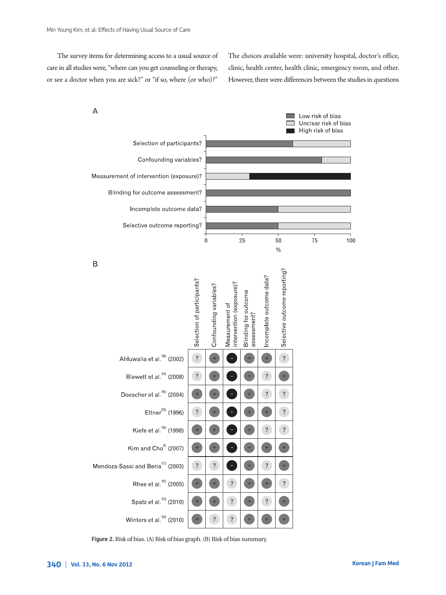The survey items for determining access to a usual source of care in all studies were, "where can you get counseling or therapy, or see a doctor when you are sick?" or "if so, where (or who)?"

The choices available were: university hospital, doctor's office, clinic, health center, health clinic, emergency room, and other. However, there were differences between the studies in questions

 $\overline{A}$ 



Figure 2. Risk of bias. (A) Risk of bias graph. (B) Risk of bias summary.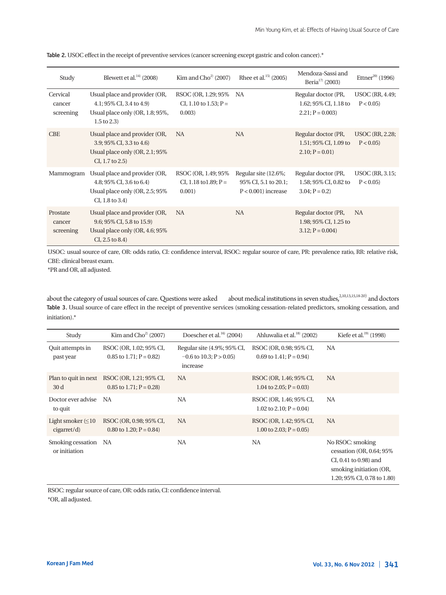| Study                           | Blewett et al. $^{14)}$ (2008)                                                                                        | Kim and $Cho2$ (2007)                                     | Rhee et al. $^{15)}$ (2005)                                            | Mendoza-Sassi and<br>Beria $^{17)}$ (2003)                        | Ettner <sup>20)</sup> (1996)           |
|---------------------------------|-----------------------------------------------------------------------------------------------------------------------|-----------------------------------------------------------|------------------------------------------------------------------------|-------------------------------------------------------------------|----------------------------------------|
| Cervical<br>cancer<br>screening | Usual place and provider (OR,<br>4.1; 95% CI, 3.4 to 4.9)<br>Usual place only (OR, 1.8; 95%,<br>$1.5 \text{ to } 2.3$ | RSOC (OR, 1.29; 95%)<br>CI, 1.10 to 1.53; $P =$<br>0.003) | NA                                                                     | Regular doctor (PR,<br>1.62; 95% CI, 1.18 to<br>$2.21; P = 0.003$ | <b>USOC</b> (RR, 4.49;<br>$P < 0.05$ ) |
| <b>CBE</b>                      | Usual place and provider (OR,<br>3.9; 95% CI, 3.3 to 4.6)<br>Usual place only (OR, 2.1; 95%<br>$CI, 1.7$ to $2.5$ )   | <b>NA</b>                                                 | <b>NA</b>                                                              | Regular doctor (PR,<br>1.51; 95% CI, 1.09 to<br>$2.10; P = 0.01$  | <b>USOC</b> (RR, 2.28;<br>$P < 0.05$ ) |
| Mammogram                       | Usual place and provider (OR,<br>4.8; 95% CI, 3.6 to 6.4)<br>Usual place only (OR, 2.5; 95%<br>$CI, 1.8$ to 3.4)      | RSOC (OR, 1.49; 95%)<br>CI, 1.18 to 1.89; $P =$<br>0.001) | Regular site (12.6%;<br>95% CI, 5.1 to 20.1;<br>$P < 0.001$ ) increase | Regular doctor (PR,<br>1.58; 95% CI, 0.82 to<br>$3.04; P = 0.2$   | <b>USOC</b> (RR, 3.15;<br>$P < 0.05$ ) |
| Prostate<br>cancer<br>screening | Usual place and provider (OR,<br>9.6; 95% CI, 5.8 to 15.9)<br>Usual place only (OR, 4.6; 95%)<br>$CI, 2.5$ to 8.4)    | NA.                                                       | <b>NA</b>                                                              | Regular doctor (PR,<br>1.98; 95% CI, 1.25 to<br>$3.12; P = 0.004$ | NA.                                    |

Table 2. USOC effect in the receipt of preventive services (cancer screening except gastric and colon cancer).\*

USOC: usual source of care, OR: odds ratio, CI: confidence interval, RSOC: regular source of care, PR: prevalence ratio, RR: relative risk, CBE: clinical breast exam.

\*PR and OR, all adjusted.

about the category of usual sources of care. Questions were asked about medical institutions in seven studies,<sup>2,10,13,15,18-20)</sup> and doctors Table 3. Usual source of care effect in the receipt of preventive services (smoking cessation-related predictors, smoking cessation, and initiation).\*

| Study                                 | Kim and $Cho2$ (2007)                                                      | Doescher et al. $^{16)}$ (2004)                                         | Ahluwalia et al. <sup>18</sup> (2002)                 | Kiefe et al. $^{19)}$ (1998)                                                                                                          |
|---------------------------------------|----------------------------------------------------------------------------|-------------------------------------------------------------------------|-------------------------------------------------------|---------------------------------------------------------------------------------------------------------------------------------------|
| Quit attempts in<br>past year         | RSOC (OR, 1.02; 95% CI,<br>0.85 to 1.71; $P = 0.82$ )                      | Regular site (4.9%; 95% CI,<br>$-0.6$ to 10.3; P $> 0.05$ )<br>increase | RSOC (OR, 0.98; 95% CI,<br>0.69 to $1.41$ ; P = 0.94) | NA                                                                                                                                    |
| 30d                                   | Plan to quit in next RSOC (OR, 1.21; 95% CI,<br>0.85 to 1.71; $P = 0.28$ ) | <b>NA</b>                                                               | RSOC (OR, 1.46; 95% CI,<br>1.04 to 2.05; $P = 0.03$   | <b>NA</b>                                                                                                                             |
| Doctor ever advise<br>to quit         | NA                                                                         | NA                                                                      | RSOC (OR, 1.46; 95% CI,<br>1.02 to 2.10; $P = 0.04$ ) | NA                                                                                                                                    |
| Light smoker $(\leq 10$<br>cigarret/d | RSOC (OR, 0.98; 95% CI,<br>0.80 to 1.20; $P = 0.84$ )                      | <b>NA</b>                                                               | RSOC (OR, 1.42; 95% CI,<br>1.00 to 2.03; $P = 0.05$ ) | <b>NA</b>                                                                                                                             |
| Smoking cessation NA<br>or initiation |                                                                            | <b>NA</b>                                                               | <b>NA</b>                                             | No RSOC: smoking<br>cessation (OR, $0.64$ ; $95\%$<br>CI, 0.41 to 0.98) and<br>smoking initiation (OR,<br>1.20; 95% CI, 0.78 to 1.80) |

RSOC: regular source of care, OR: odds ratio, CI: confidence interval. \*OR, all adjusted.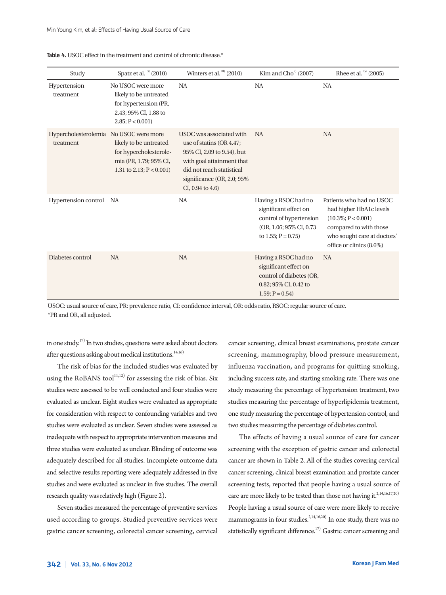| Study                                               | Spatz et al. <sup>13</sup> (2010)                                                                                | Winters et al. <sup>10</sup> (2010)                                                                                                                                                                 | Kim and $Cho2$ (2007)                                                                                                       | Rhee et al. $^{15)}$ (2005)                                                                                                                                       |
|-----------------------------------------------------|------------------------------------------------------------------------------------------------------------------|-----------------------------------------------------------------------------------------------------------------------------------------------------------------------------------------------------|-----------------------------------------------------------------------------------------------------------------------------|-------------------------------------------------------------------------------------------------------------------------------------------------------------------|
| Hypertension<br>treatment                           | No USOC were more<br>likely to be untreated<br>for hypertension (PR,<br>2.43; 95% CI, 1.88 to<br>2.85; P < 0.001 | <b>NA</b>                                                                                                                                                                                           | <b>NA</b>                                                                                                                   | <b>NA</b>                                                                                                                                                         |
| Hypercholesterolemia No USOC were more<br>treatment | likely to be untreated<br>for hypercholesterole-<br>mia (PR, 1.79; 95% CI,<br>1.31 to 2.13; $P < 0.001$ )        | USOC was associated with<br>use of statins (OR 4.47;<br>95% CI, 2.09 to 9.54), but<br>with goal attainment that<br>did not reach statistical<br>significance (OR, 2.0; 95%<br>$CI, 0.94$ to $4.6$ ) | <b>NA</b>                                                                                                                   | <b>NA</b>                                                                                                                                                         |
| Hypertension control                                | NA                                                                                                               | <b>NA</b>                                                                                                                                                                                           | Having a RSOC had no<br>significant effect on<br>control of hypertension<br>(OR, 1.06; 95% CI, 0.73)<br>to 1.55; $P = 0.75$ | Patients who had no USOC<br>had higher HbA1c levels<br>$(10.3\%; P < 0.001)$<br>compared to with those<br>who sought care at doctors'<br>office or clinics (8.6%) |
| Diabetes control                                    | <b>NA</b>                                                                                                        | <b>NA</b>                                                                                                                                                                                           | Having a RSOC had no<br>significant effect on<br>control of diabetes (OR,<br>0.82; 95% CI, 0.42 to<br>$1.59; P = 0.54$      | <b>NA</b>                                                                                                                                                         |

Table 4. USOC effect in the treatment and control of chronic disease.\*

USOC: usual source of care, PR: prevalence ratio, CI: confidence interval, OR: odds ratio, RSOC: regular source of care. \*PR and OR, all adjusted.

in one study.17) In two studies, questions were asked about doctors after questions asking about medical institutions.<sup>14,16)</sup>

The risk of bias for the included studies was evaluated by using the RoBANS tool<sup>11,12)</sup> for assessing the risk of bias. Six studies were assessed to be well conducted and four studies were evaluated as unclear. Eight studies were evaluated as appropriate for consideration with respect to confounding variables and two studies were evaluated as unclear. Seven studies were assessed as inadequate with respect to appropriate intervention measures and three studies were evaluated as unclear. Blinding of outcome was adequately described for all studies. Incomplete outcome data and selective results reporting were adequately addressed in five studies and were evaluated as unclear in five studies. The overall research quality was relatively high (Figure 2).

Seven studies measured the percentage of preventive services used according to groups. Studied preventive services were gastric cancer screening, colorectal cancer screening, cervical

cancer screening, clinical breast examinations, prostate cancer screening, mammography, blood pressure measurement, influenza vaccination, and programs for quitting smoking, including success rate, and starting smoking rate. There was one study measuring the percentage of hypertension treatment, two studies measuring the percentage of hyperlipidemia treatment, one study measuring the percentage of hypertension control, and two studies measuring the percentage of diabetes control.

The effects of having a usual source of care for cancer screening with the exception of gastric cancer and colorectal cancer are shown in Table 2. All of the studies covering cervical cancer screening, clinical breast examination and prostate cancer screening tests, reported that people having a usual source of care are more likely to be tested than those not having it.<sup>2,14,16,17,20)</sup> People having a usual source of care were more likely to receive mammograms in four studies.<sup>2,14,16,20)</sup> In one study, there was no statistically significant difference.<sup>17)</sup> Gastric cancer screening and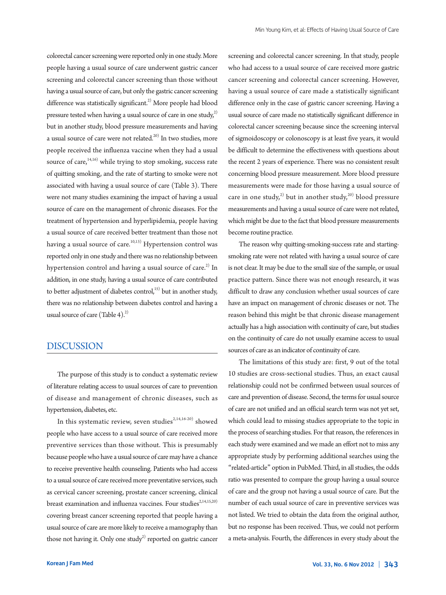colorectal cancer screening were reported only in one study. More people having a usual source of care underwent gastric cancer screening and colorectal cancer screening than those without having a usual source of care, but only the gastric cancer screening difference was statistically significant.<sup>2)</sup> More people had blood pressure tested when having a usual source of care in one study, $^{2}$ ) but in another study, blood pressure measurements and having a usual source of care were not related.<sup>20)</sup> In two studies, more people received the influenza vaccine when they had a usual source of care, $14,16$ ) while trying to stop smoking, success rate of quitting smoking, and the rate of starting to smoke were not associated with having a usual source of care (Table 3). There were not many studies examining the impact of having a usual source of care on the management of chronic diseases. For the treatment of hypertension and hyperlipidemia, people having a usual source of care received better treatment than those not having a usual source of care.<sup>10,13)</sup> Hypertension control was reported only in one study and there was no relationship between hypertension control and having a usual source of care. $^{2)}$  In addition, in one study, having a usual source of care contributed to better adjustment of diabetes control, $^{15)}$  but in another study, there was no relationship between diabetes control and having a usual source of care (Table 4). $^{2)}$ 

## DISCUSSION

The purpose of this study is to conduct a systematic review of literature relating access to usual sources of care to prevention of disease and management of chronic diseases, such as hypertension, diabetes, etc.

In this systematic review, seven studies<sup>2,14,16-20)</sup> showed people who have access to a usual source of care received more preventive services than those without. This is presumably because people who have a usual source of care may have a chance to receive preventive health counseling. Patients who had access to a usual source of care received more preventative services, such as cervical cancer screening, prostate cancer screening, clinical breast examination and influenza vaccines. Four studies<sup>2,14,15,20)</sup> covering breast cancer screening reported that people having a usual source of care are more likely to receive a mamography than those not having it. Only one  $study<sup>2</sup>$  reported on gastric cancer

screening and colorectal cancer screening. In that study, people who had access to a usual source of care received more gastric cancer screening and colorectal cancer screening. However, having a usual source of care made a statistically significant difference only in the case of gastric cancer screening. Having a usual source of care made no statistically significant difference in colorectal cancer screening because since the screening interval of sigmoidoscopy or colonoscopy is at least five years, it would be difficult to determine the effectiveness with questions about the recent 2 years of experience. There was no consistent result concerning blood pressure measurement. More blood pressure measurements were made for those having a usual source of care in one study,<sup>2)</sup> but in another study,<sup>20)</sup> blood pressure measurements and having a usual source of care were not related, which might be due to the fact that blood pressure measurements become routine practice.

The reason why quitting-smoking-success rate and startingsmoking rate were not related with having a usual source of care is not clear. It may be due to the small size of the sample, or usual practice pattern. Since there was not enough research, it was difficult to draw any conclusion whether usual sources of care have an impact on management of chronic diseases or not. The reason behind this might be that chronic disease management actually has a high association with continuity of care, but studies on the continuity of care do not usually examine access to usual sources of care as an indicator of continuity of care.

The limitations of this study are: first, 9 out of the total 10 studies are cross-sectional studies. Thus, an exact causal relationship could not be confirmed between usual sources of care and prevention of disease. Second, the terms for usual source of care are not unified and an official search term was not yet set, which could lead to missing studies appropriate to the topic in the process of searching studies. For that reason, the references in each study were examined and we made an effort not to miss any appropriate study by performing additional searches using the "related-article" option in PubMed. Third, in all studies, the odds ratio was presented to compare the group having a usual source of care and the group not having a usual source of care. But the number of each usual source of care in preventive services was not listed. We tried to obtain the data from the original author, but no response has been received. Thus, we could not perform a meta-analysis. Fourth, the differences in every study about the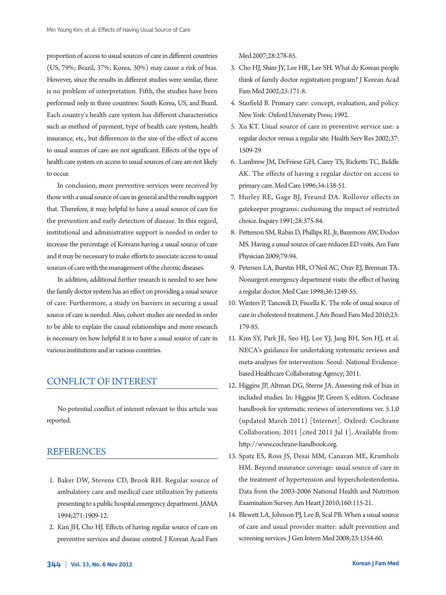proportion of access to usual sources of care in different countries (US, 79%; Brazil, 37%; Korea, 30%) may cause a risk of bias. However, since the results in different studies were similar, there is no problem of interpretation. Fifth, the studies have been performed only in three countries: South Korea, US, and Brazil. Each country's health care system has different characteristics such as method of payment, type of health care system, health insurance, etc., but differences in the size of the effect of access to usual sources of care are not significant. Effects of the type of health care system on access to usual sources of care are not likely to occur.

In conclusion, more preventive services were received by those with a usual source of care in general and the results support that. Therefore, it may helpful to have a usual source of care for the prevention and early detection of disease. In this regard, institutional and administrative support is needed in order to increase the percentage of Koreans having a usual source of care and it may be necessary to make efforts to associate access to usual sources of care with the management of the chronic diseases.

In addition, additional further research is needed to see how the family doctor system has an effect on providing a usual source of care. Furthermore, a study on barriers in securing a usual source of care is needed. Also, cohort studies are needed in order to be able to explain the causal relationships and more research is necessary on how helpful it is to have a usual source of care in various institutions and in various countries.

## CONFLICT OF INTEREST

No potential conflict of interest relevant to this article was reported.

### REFERENCES

- 1. Baker DW, Stevens CD, Brook RH. Regular source of ambulatory care and medical care utilization by patients presenting to a public hospital emergency department. JAMA 1994;271:1909-12.
- 2. Kim JH, Cho HJ. Effects of having regular source of care on preventive services and disease control. J Korean Acad Fam

Med 2007;28:278-85.

- 3. Cho HJ, Shim JY, Lee HR, Lee SH. What do Korean people think of family doctor registration program? J Korean Acad Fam Med 2002;23:171-8.
- 4. Starfield B. Primary care: concept, evaluation, and policy. New York: Oxford University Press; 1992.
- 5. Xu KT. Usual source of care in preventive service use: a regular doctor versus a regular site. Health Serv Res 2002;37: 1509-29.
- 6. Lambrew JM, DeFriese GH, Carey TS, Ricketts TC, Biddle AK. The effects of having a regular doctor on access to primary care. Med Care 1996;34:138-51.
- 7. Hurley RE, Gage BJ, Freund DA. Rollover effects in gatekeeper programs: cushioning the impact of restricted choice. Inquiry 1991;28:375-84.
- 8. Petterson SM, Rabin D, Phillips RL Jr, Bazemore AW, Dodoo MS. Having a usual source of care reduces ED visits. Am Fam Physician 2009;79:94.
- 9. Petersen LA, Burstin HR, O'Neil AC, Orav EJ, Brennan TA. Nonurgent emergency department visits: the effect of having a regular doctor. Med Care 1998;36:1249-55.
- 10. Winters P, Tancredi D, Fiscella K. The role of usual source of care in cholesterol treatment. J Am Board Fam Med 2010;23: 179-85.
- 11. Kim SY, Park JE, Seo HJ, Lee YJ, Jang BH, Son HJ, et al. NECA's guidance for undertaking systematic reviews and meta-analyses for intervention. Seoul: National Evidencebased Healthcare Collaborating Agency; 2011.
- 12. Higgins JP, Altman DG, Sterne JA. Assessing risk of bias in included studies. In: Higgins JP, Green S, editors. Cochrane handbook for systematic reviews of interventions ver. 5.1.0 (updated March 2011) [Internet]. Oxford: Cochrane Collaboration; 2011 [cited 2011 Jul 1]. Available from: http://www.cochrane-handbook.org.
- 13. Spatz ES, Ross JS, Desai MM, Canavan ME, Krumholz HM. Beyond insurance coverage: usual source of care in the treatment of hypertension and hypercholesterolemia. Data from the 2003-2006 National Health and Nutrition Examination Survey. Am Heart J 2010;160:115-21.
- 14. Blewett LA, Johnson PJ, Lee B, Scal PB. When a usual source of care and usual provider matter: adult prevention and screening services. J Gen Intern Med 2008;23:1354-60.